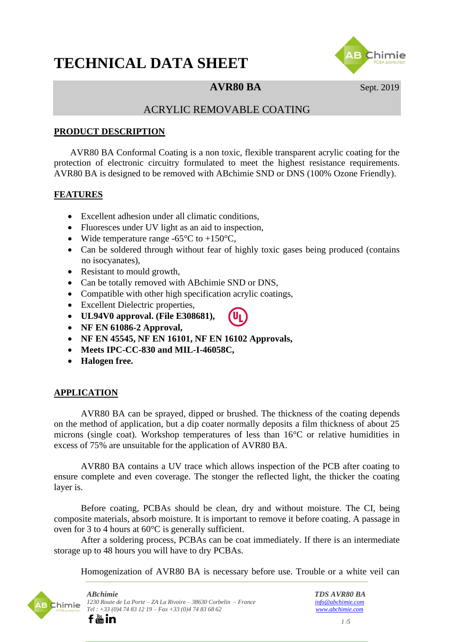# **TECHNICAL DATA SHEET**



# **AVR80 BA** Sept. 2019

# ACRYLIC REMOVABLE COATING

#### **PRODUCT DESCRIPTION**

AVR80 BA Conformal Coating is a non toxic, flexible transparent acrylic coating for the protection of electronic circuitry formulated to meet the highest resistance requirements. AVR80 BA is designed to be removed with ABchimie SND or DNS (100% Ozone Friendly).

#### **FEATURES**

- Excellent adhesion under all climatic conditions,
- Fluoresces under UV light as an aid to inspection,
- Wide temperature range  $-65^{\circ}$ C to  $+150^{\circ}$ C,
- Can be soldered through without fear of highly toxic gases being produced (contains no isocyanates),
- Resistant to mould growth.
- Can be totally removed with ABchimie SND or DNS,
- Compatible with other high specification acrylic coatings,
- Excellent Dielectric properties,
- **UL94V0 approval. (File E308681),**
- **NF EN 61086-2 Approval,**
- **NF EN 45545, NF EN 16101, NF EN 16102 Approvals,**
- **Meets IPC-CC-830 and MIL-I-46058C,**
- **Halogen free.**

# **APPLICATION**

AVR80 BA can be sprayed, dipped or brushed. The thickness of the coating depends on the method of application, but a dip coater normally deposits a film thickness of about 25 microns (single coat). Workshop temperatures of less than 16°C or relative humidities in excess of 75% are unsuitable for the application of AVR80 BA.

AVR80 BA contains a UV trace which allows inspection of the PCB after coating to ensure complete and even coverage. The stonger the reflected light, the thicker the coating layer is.

Before coating, PCBAs should be clean, dry and without moisture. The CI, being composite materials, absorb moisture. It is important to remove it before coating. A passage in oven for 3 to 4 hours at 60°C is generally sufficient.

After a soldering process, PCBAs can be coat immediately. If there is an intermediate storage up to 48 hours you will have to dry PCBAs.

Homogenization of AVR80 BA is necessary before use. Trouble or a white veil can

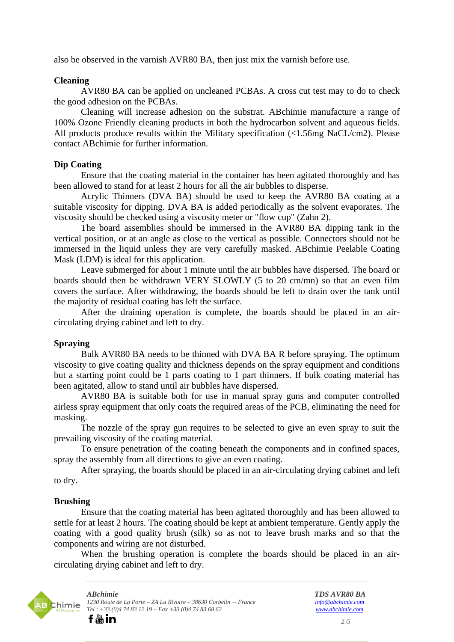also be observed in the varnish AVR80 BA, then just mix the varnish before use.

#### **Cleaning**

AVR80 BA can be applied on uncleaned PCBAs. A cross cut test may to do to check the good adhesion on the PCBAs.

Cleaning will increase adhesion on the substrat. ABchimie manufacture a range of 100% Ozone Friendly cleaning products in both the hydrocarbon solvent and aqueous fields. All products produce results within the Military specification (<1.56mg NaCL/cm2). Please contact ABchimie for further information.

#### **Dip Coating**

Ensure that the coating material in the container has been agitated thoroughly and has been allowed to stand for at least 2 hours for all the air bubbles to disperse.

Acrylic Thinners (DVA BA) should be used to keep the AVR80 BA coating at a suitable viscosity for dipping. DVA BA is added periodically as the solvent evaporates. The viscosity should be checked using a viscosity meter or "flow cup" (Zahn 2).

The board assemblies should be immersed in the AVR80 BA dipping tank in the vertical position, or at an angle as close to the vertical as possible. Connectors should not be immersed in the liquid unless they are very carefully masked. ABchimie Peelable Coating Mask (LDM) is ideal for this application.

Leave submerged for about 1 minute until the air bubbles have dispersed. The board or boards should then be withdrawn VERY SLOWLY (5 to 20 cm/mn) so that an even film covers the surface. After withdrawing, the boards should be left to drain over the tank until the majority of residual coating has left the surface.

After the draining operation is complete, the boards should be placed in an aircirculating drying cabinet and left to dry.

#### **Spraying**

Bulk AVR80 BA needs to be thinned with DVA BA R before spraying. The optimum viscosity to give coating quality and thickness depends on the spray equipment and conditions but a starting point could be 1 parts coating to 1 part thinners. If bulk coating material has been agitated, allow to stand until air bubbles have dispersed.

AVR80 BA is suitable both for use in manual spray guns and computer controlled airless spray equipment that only coats the required areas of the PCB, eliminating the need for masking.

The nozzle of the spray gun requires to be selected to give an even spray to suit the prevailing viscosity of the coating material.

To ensure penetration of the coating beneath the components and in confined spaces, spray the assembly from all directions to give an even coating.

After spraying, the boards should be placed in an air-circulating drying cabinet and left to dry.

# **Brushing**

Ensure that the coating material has been agitated thoroughly and has been allowed to settle for at least 2 hours. The coating should be kept at ambient temperature. Gently apply the coating with a good quality brush (silk) so as not to leave brush marks and so that the components and wiring are not disturbed.

When the brushing operation is complete the boards should be placed in an aircirculating drying cabinet and left to dry.

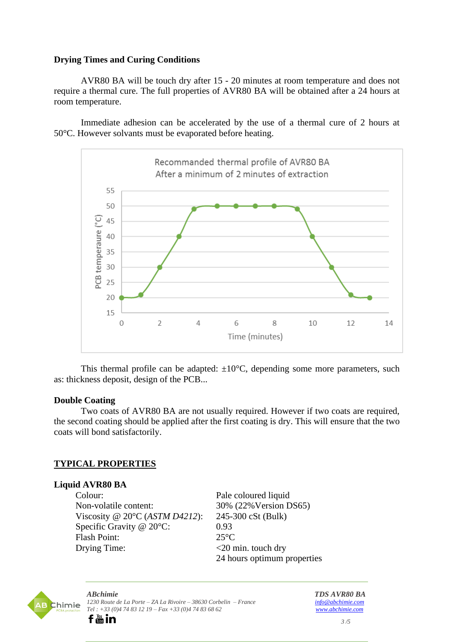# **Drying Times and Curing Conditions**

AVR80 BA will be touch dry after 15 - 20 minutes at room temperature and does not require a thermal cure. The full properties of AVR80 BA will be obtained after a 24 hours at room temperature.

Immediate adhesion can be accelerated by the use of a thermal cure of 2 hours at 50°C. However solvants must be evaporated before heating.



This thermal profile can be adapted:  $\pm 10^{\circ}$ C, depending some more parameters, such as: thickness deposit, design of the PCB...

#### **Double Coating**

Two coats of AVR80 BA are not usually required. However if two coats are required, the second coating should be applied after the first coating is dry. This will ensure that the two coats will bond satisfactorily.

# **TYPICAL PROPERTIES**

# **Liquid AVR80 BA**

Colour: Pale coloured liquid Non-volatile content: 30% (22%Version DS65) Viscosity @ 20°C (*ASTM D4212*): 245-300 cSt (Bulk) Specific Gravity @ 20°C: 0.93 Flash Point: 25°C Drying Time:  $\langle 20 \text{ min. touch dry} \rangle$ 

24 hours optimum properties

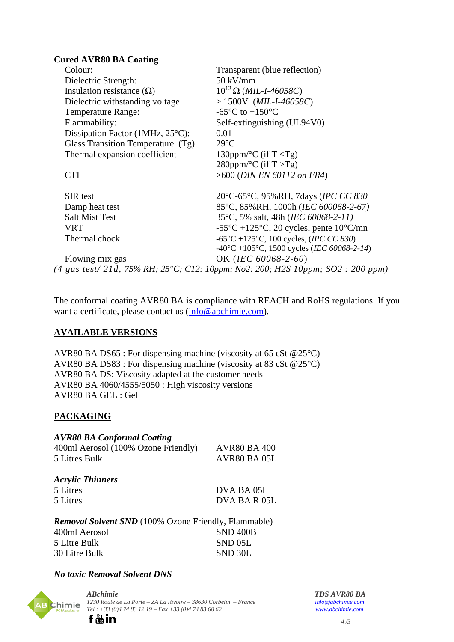#### **Cured AVR80 BA Coating**

| Colour:                                    | Transparent (blue reflection)                                                                    |
|--------------------------------------------|--------------------------------------------------------------------------------------------------|
| Dielectric Strength:                       | $50 \text{ kV/mm}$                                                                               |
| Insulation resistance $(\Omega)$           | $10^{12} \Omega$ ( <i>MIL-I-46058C</i> )                                                         |
| Dielectric withstanding voltage            | $> 1500V$ ( <i>MIL-I-46058C</i> )                                                                |
| <b>Temperature Range:</b>                  | -65 $\mathrm{^{\circ}C}$ to +150 $\mathrm{^{\circ}C}$                                            |
| Flammability:                              | Self-extinguishing (UL94V0)                                                                      |
| Dissipation Factor (1MHz, $25^{\circ}$ C): | 0.01                                                                                             |
| Glass Transition Temperature (Tg)          | $29^{\circ}C$                                                                                    |
| Thermal expansion coefficient              | 130ppm/ $\rm ^{\circ}C$ (if T $\rm <$ Tg)                                                        |
|                                            | 280ppm/ ${}^{\circ}C$ (if T $>$ Tg)                                                              |
| <b>CTI</b>                                 | $>600$ (DIN EN 60112 on FR4)                                                                     |
| SIR test                                   | 20°C-65°C, 95%RH, 7days (IPC CC 830)                                                             |
| Damp heat test                             | 85°C, 85%RH, 1000h (IEC 600068-2-67)                                                             |
| <b>Salt Mist Test</b>                      | 35°C, 5% salt, 48h ( <i>IEC 60068-2-11</i> )                                                     |
| <b>VRT</b>                                 | -55 $\mathrm{^{\circ}C}$ +125 $\mathrm{^{\circ}C}$ , 20 cycles, pente 10 $\mathrm{^{\circ}C/mm}$ |
| Thermal chock                              | $-65^{\circ}$ C +125 <sup>o</sup> C, 100 cycles, ( <i>IPC CC 830</i> )                           |
|                                            | $-40^{\circ}$ C +105°C, 1500 cycles (IEC 60068-2-14)                                             |
| Flowing mix gas                            | OK (IEC 60068-2-60)                                                                              |
|                                            | (4 gas test/ 21d, 75% RH; 25°C; C12: 10ppm; No2: 200; H2S 10ppm; SO2: 200 ppm)                   |

The conformal coating AVR80 BA is compliance with REACH and RoHS regulations. If you want a certificate, please contact us [\(info@abchimie.com\)](mailto:info@abchimie.com).

# **AVAILABLE VERSIONS**

AVR80 BA DS65 : For dispensing machine (viscosity at 65 cSt @25°C) AVR80 BA DS83 : For dispensing machine (viscosity at 83 cSt @25°C) AVR80 BA DS: Viscosity adapted at the customer needs AVR80 BA 4060/4555/5050 : High viscosity versions AVR80 BA GEL : Gel

# **PACKAGING**

# *AVR80 BA Conformal Coating*

| 400ml Aerosol (100% Ozone Friendly) | <b>AVR80 BA 400</b> |
|-------------------------------------|---------------------|
| 5 Litres Bulk                       | AVR80 BA 05L        |

| <b>Acrylic Thinners</b> |              |  |  |
|-------------------------|--------------|--|--|
| 5 Litres                | DVA BA 05L   |  |  |
| 5 Litres                | DVA BA R 05L |  |  |

*Removal Solvent SND* (100% Ozone Friendly, Flammable) 400ml Aerosol SND 400B 5 Litre Bulk SND 05L 30 Litre Bulk SND 30L

# *No toxic Removal Solvent DNS*

o In



*ABchimie TDS AVR80 BA 1230 Route de La Porte – ZA La Rivoire – 38630 Corbelin – France [info@abchimie.com](mailto:info@abchimie.com) [Tel](https://www.facebook.com/ABchimie-PCBs-Protection-887460488062892) [: +3](https://www.youtube.com/channel/UCF3OgrU-nvsNLLZ8SFmoqLw)3 (0)4 74 83 12 19 – Fax +33 (0)4 74 83 68 62 [www.abchimie.com](http://www.abchimie.com/)*